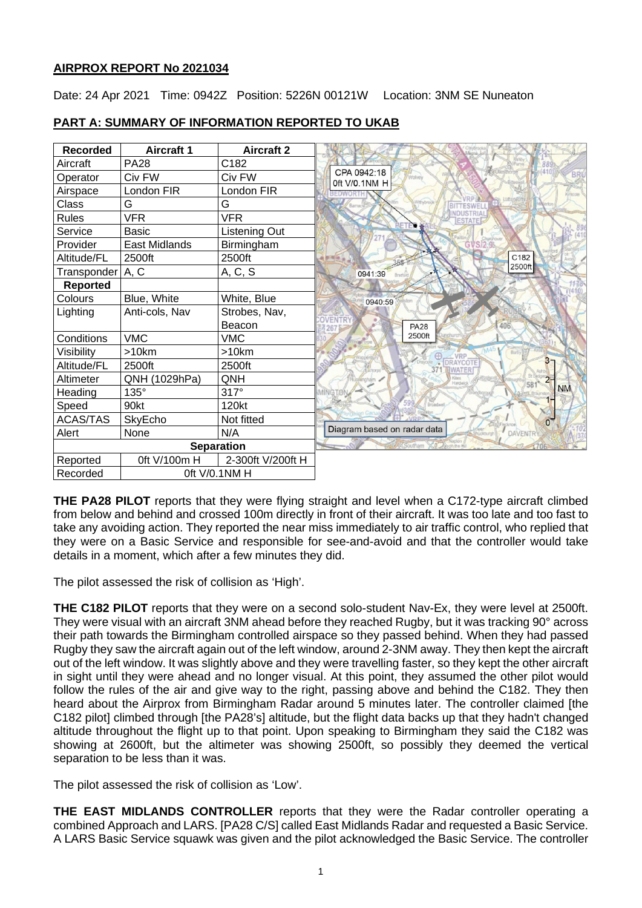# **AIRPROX REPORT No 2021034**

Date: 24 Apr 2021 Time: 0942Z Position: 5226N 00121W Location: 3NM SE Nuneaton

| <b>Recorded</b>           | <b>Aircraft 1</b> | <b>Aircraft 2</b> |                                                       |
|---------------------------|-------------------|-------------------|-------------------------------------------------------|
| Aircraft                  | <b>PA28</b>       | C182              |                                                       |
| Operator                  | Civ FW            | Civ FW            | CPA 0942:18<br>$-4410$<br><b>BRU</b><br>Oft V/0.1NM H |
| Airspace                  | London FIR        | London FIR        | Griscote                                              |
| Class                     | G                 | G                 | <b>Ithubroo</b>                                       |
| <b>Rules</b>              | <b>VFR</b>        | <b>VFR</b>        | <b>VDUSTRIA</b><br><b>ESTATE</b>                      |
| Service                   | <b>Basic</b>      | Listening Out     |                                                       |
| Provider                  | East Midlands     | Birmingham        |                                                       |
| Altitude/FL               | 2500ft            | 2500ft            | C182                                                  |
| Transponder   A, C        |                   | A, C, S           | 2500ft<br>0941:39                                     |
| Reported                  |                   |                   |                                                       |
| Colours                   | Blue, White       | White, Blue       | 0940:59                                               |
| Lighting                  | Anti-cols, Nav    | Strobes, Nav,     |                                                       |
|                           |                   | Beacon            | <b>VENTR</b><br>406<br><b>PA28</b><br>267             |
| Conditions                | <b>VMC</b>        | <b>VMC</b>        | 2500ft                                                |
| Visibility                | >10km             | >10km             | <b>VRP</b>                                            |
| Altitude/FL               | 2500ft            | 2500ft            | 3 <sub>7</sub><br><b>DRAYCOT</b><br>WATER             |
| Altimeter                 | QNH (1029hPa)     | QNH               | $2 -$<br>línoha<br>Hardwic<br>58                      |
| Heading                   | $135^\circ$       | $317^\circ$       | <b>NM</b>                                             |
| Speed                     | 90kt              | 120kt             | Broadwel                                              |
| ACAS/TAS                  | SkyEcho           | Not fitted        | $0-$                                                  |
| Alert                     | None              | N/A               | Diagram based on radar data<br><b>DAVENTR</b>         |
| <b>Separation</b>         |                   |                   | son the H                                             |
| Reported                  | 0ft V/100m H      | 2-300ft V/200ft H |                                                       |
| 0ft V/0.1NM H<br>Recorded |                   |                   |                                                       |

# **PART A: SUMMARY OF INFORMATION REPORTED TO UKAB**

**THE PA28 PILOT** reports that they were flying straight and level when a C172-type aircraft climbed from below and behind and crossed 100m directly in front of their aircraft. It was too late and too fast to take any avoiding action. They reported the near miss immediately to air traffic control, who replied that they were on a Basic Service and responsible for see-and-avoid and that the controller would take details in a moment, which after a few minutes they did.

The pilot assessed the risk of collision as 'High'.

**THE C182 PILOT** reports that they were on a second solo-student Nav-Ex, they were level at 2500ft. They were visual with an aircraft 3NM ahead before they reached Rugby, but it was tracking 90° across their path towards the Birmingham controlled airspace so they passed behind. When they had passed Rugby they saw the aircraft again out of the left window, around 2-3NM away. They then kept the aircraft out of the left window. It was slightly above and they were travelling faster, so they kept the other aircraft in sight until they were ahead and no longer visual. At this point, they assumed the other pilot would follow the rules of the air and give way to the right, passing above and behind the C182. They then heard about the Airprox from Birmingham Radar around 5 minutes later. The controller claimed [the C182 pilot] climbed through [the PA28's] altitude, but the flight data backs up that they hadn't changed altitude throughout the flight up to that point. Upon speaking to Birmingham they said the C182 was showing at 2600ft, but the altimeter was showing 2500ft, so possibly they deemed the vertical separation to be less than it was.

The pilot assessed the risk of collision as 'Low'.

**THE EAST MIDLANDS CONTROLLER** reports that they were the Radar controller operating a combined Approach and LARS. [PA28 C/S] called East Midlands Radar and requested a Basic Service. A LARS Basic Service squawk was given and the pilot acknowledged the Basic Service. The controller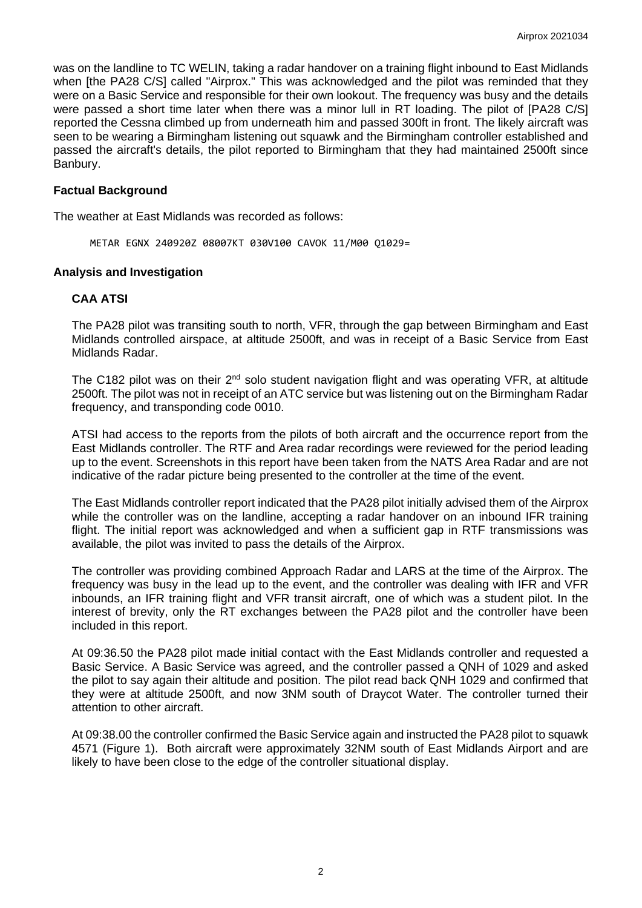was on the landline to TC WELIN, taking a radar handover on a training flight inbound to East Midlands when [the PA28 C/S] called "Airprox." This was acknowledged and the pilot was reminded that they were on a Basic Service and responsible for their own lookout. The frequency was busy and the details were passed a short time later when there was a minor lull in RT loading. The pilot of [PA28 C/S] reported the Cessna climbed up from underneath him and passed 300ft in front. The likely aircraft was seen to be wearing a Birmingham listening out squawk and the Birmingham controller established and passed the aircraft's details, the pilot reported to Birmingham that they had maintained 2500ft since Banbury.

## **Factual Background**

The weather at East Midlands was recorded as follows:

METAR EGNX 240920Z 08007KT 030V100 CAVOK 11/M00 Q1029=

## **Analysis and Investigation**

## **CAA ATSI**

The PA28 pilot was transiting south to north, VFR, through the gap between Birmingham and East Midlands controlled airspace, at altitude 2500ft, and was in receipt of a Basic Service from East Midlands Radar.

The C182 pilot was on their  $2^{nd}$  solo student navigation flight and was operating VFR, at altitude 2500ft. The pilot was not in receipt of an ATC service but was listening out on the Birmingham Radar frequency, and transponding code 0010.

ATSI had access to the reports from the pilots of both aircraft and the occurrence report from the East Midlands controller. The RTF and Area radar recordings were reviewed for the period leading up to the event. Screenshots in this report have been taken from the NATS Area Radar and are not indicative of the radar picture being presented to the controller at the time of the event.

The East Midlands controller report indicated that the PA28 pilot initially advised them of the Airprox while the controller was on the landline, accepting a radar handover on an inbound IFR training flight. The initial report was acknowledged and when a sufficient gap in RTF transmissions was available, the pilot was invited to pass the details of the Airprox.

The controller was providing combined Approach Radar and LARS at the time of the Airprox. The frequency was busy in the lead up to the event, and the controller was dealing with IFR and VFR inbounds, an IFR training flight and VFR transit aircraft, one of which was a student pilot. In the interest of brevity, only the RT exchanges between the PA28 pilot and the controller have been included in this report.

At 09:36.50 the PA28 pilot made initial contact with the East Midlands controller and requested a Basic Service. A Basic Service was agreed, and the controller passed a QNH of 1029 and asked the pilot to say again their altitude and position. The pilot read back QNH 1029 and confirmed that they were at altitude 2500ft, and now 3NM south of Draycot Water. The controller turned their attention to other aircraft.

At 09:38.00 the controller confirmed the Basic Service again and instructed the PA28 pilot to squawk 4571 (Figure 1). Both aircraft were approximately 32NM south of East Midlands Airport and are likely to have been close to the edge of the controller situational display.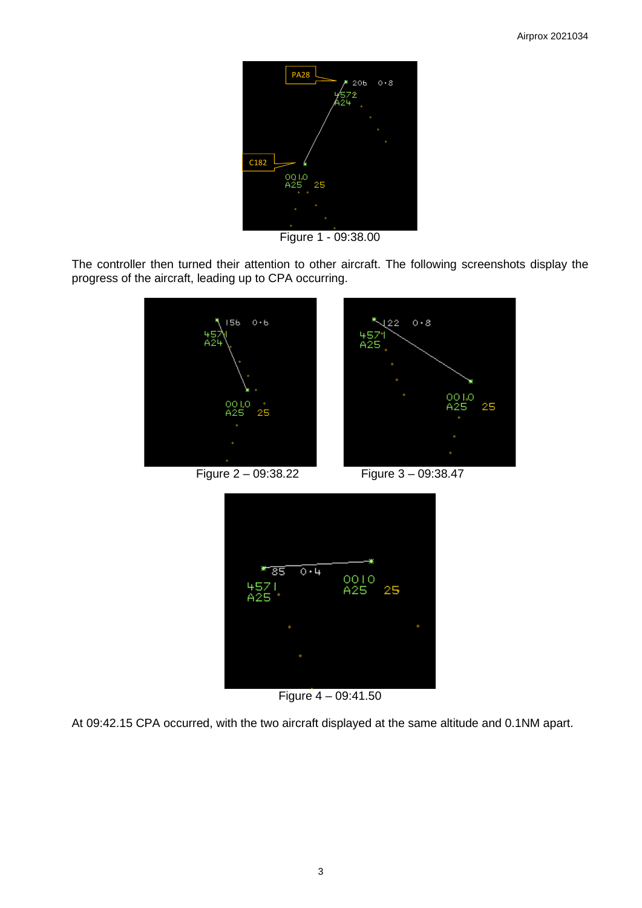

Figure 1 - 09:38.00

The controller then turned their attention to other aircraft. The following screenshots display the progress of the aircraft, leading up to CPA occurring.



Figure 2 – 09:38.22 Figure 3 – 09:38.47



Figure 4 – 09:41.50

At 09:42.15 CPA occurred, with the two aircraft displayed at the same altitude and 0.1NM apart.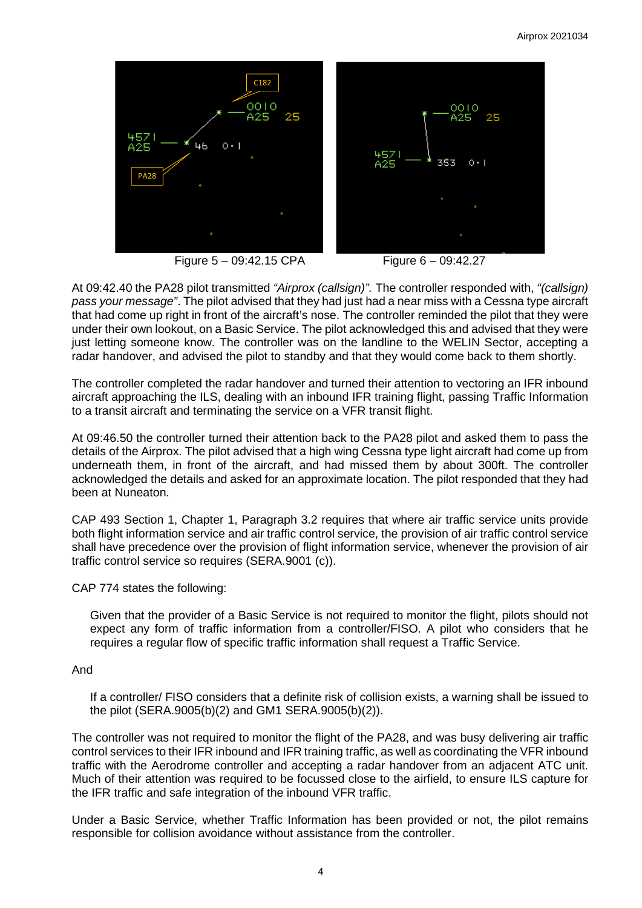

**Figure 5 – 09:42.15 CPA Figure 6 – 09:42.27** 

At 09:42.40 the PA28 pilot transmitted *"Airprox (callsign)".* The controller responded with, *"(callsign) pass your message"*. The pilot advised that they had just had a near miss with a Cessna type aircraft that had come up right in front of the aircraft's nose. The controller reminded the pilot that they were under their own lookout, on a Basic Service. The pilot acknowledged this and advised that they were just letting someone know. The controller was on the landline to the WELIN Sector, accepting a radar handover, and advised the pilot to standby and that they would come back to them shortly.

The controller completed the radar handover and turned their attention to vectoring an IFR inbound aircraft approaching the ILS, dealing with an inbound IFR training flight, passing Traffic Information to a transit aircraft and terminating the service on a VFR transit flight.

At 09:46.50 the controller turned their attention back to the PA28 pilot and asked them to pass the details of the Airprox. The pilot advised that a high wing Cessna type light aircraft had come up from underneath them, in front of the aircraft, and had missed them by about 300ft. The controller acknowledged the details and asked for an approximate location. The pilot responded that they had been at Nuneaton.

CAP 493 Section 1, Chapter 1, Paragraph 3.2 requires that where air traffic service units provide both flight information service and air traffic control service, the provision of air traffic control service shall have precedence over the provision of flight information service, whenever the provision of air traffic control service so requires (SERA.9001 (c)).

CAP 774 states the following:

Given that the provider of a Basic Service is not required to monitor the flight, pilots should not expect any form of traffic information from a controller/FISO. A pilot who considers that he requires a regular flow of specific traffic information shall request a Traffic Service.

## And

If a controller/ FISO considers that a definite risk of collision exists, a warning shall be issued to the pilot (SERA.9005(b)(2) and GM1 SERA.9005(b)(2)).

The controller was not required to monitor the flight of the PA28, and was busy delivering air traffic control services to their IFR inbound and IFR training traffic, as well as coordinating the VFR inbound traffic with the Aerodrome controller and accepting a radar handover from an adjacent ATC unit. Much of their attention was required to be focussed close to the airfield, to ensure ILS capture for the IFR traffic and safe integration of the inbound VFR traffic.

Under a Basic Service, whether Traffic Information has been provided or not, the pilot remains responsible for collision avoidance without assistance from the controller.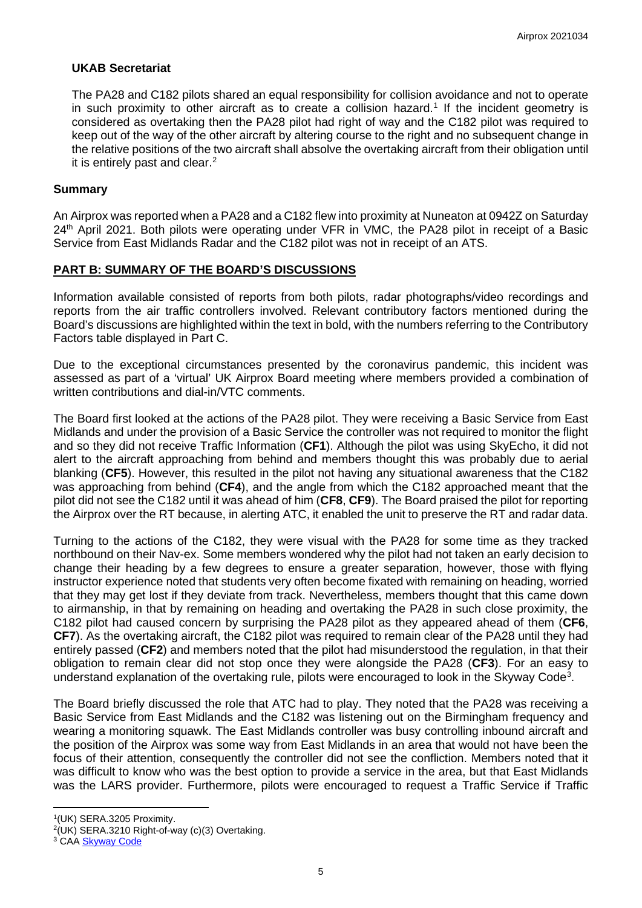## **UKAB Secretariat**

The PA28 and C182 pilots shared an equal responsibility for collision avoidance and not to operate in such proximity to other aircraft as to create a collision hazard. [1](#page-4-0) If the incident geometry is considered as overtaking then the PA28 pilot had right of way and the C182 pilot was required to keep out of the way of the other aircraft by altering course to the right and no subsequent change in the relative positions of the two aircraft shall absolve the overtaking aircraft from their obligation until it is entirely past and clear. [2](#page-4-1)

### **Summary**

An Airprox was reported when a PA28 and a C182 flew into proximity at Nuneaton at 0942Z on Saturday 24<sup>th</sup> April 2021. Both pilots were operating under VFR in VMC, the PA28 pilot in receipt of a Basic Service from East Midlands Radar and the C182 pilot was not in receipt of an ATS.

## **PART B: SUMMARY OF THE BOARD'S DISCUSSIONS**

Information available consisted of reports from both pilots, radar photographs/video recordings and reports from the air traffic controllers involved. Relevant contributory factors mentioned during the Board's discussions are highlighted within the text in bold, with the numbers referring to the Contributory Factors table displayed in Part C.

Due to the exceptional circumstances presented by the coronavirus pandemic, this incident was assessed as part of a 'virtual' UK Airprox Board meeting where members provided a combination of written contributions and dial-in/VTC comments.

The Board first looked at the actions of the PA28 pilot. They were receiving a Basic Service from East Midlands and under the provision of a Basic Service the controller was not required to monitor the flight and so they did not receive Traffic Information (**CF1**). Although the pilot was using SkyEcho, it did not alert to the aircraft approaching from behind and members thought this was probably due to aerial blanking (**CF5**). However, this resulted in the pilot not having any situational awareness that the C182 was approaching from behind (**CF4**), and the angle from which the C182 approached meant that the pilot did not see the C182 until it was ahead of him (**CF8**, **CF9**). The Board praised the pilot for reporting the Airprox over the RT because, in alerting ATC, it enabled the unit to preserve the RT and radar data.

Turning to the actions of the C182, they were visual with the PA28 for some time as they tracked northbound on their Nav-ex. Some members wondered why the pilot had not taken an early decision to change their heading by a few degrees to ensure a greater separation, however, those with flying instructor experience noted that students very often become fixated with remaining on heading, worried that they may get lost if they deviate from track. Nevertheless, members thought that this came down to airmanship, in that by remaining on heading and overtaking the PA28 in such close proximity, the C182 pilot had caused concern by surprising the PA28 pilot as they appeared ahead of them (**CF6**, **CF7**). As the overtaking aircraft, the C182 pilot was required to remain clear of the PA28 until they had entirely passed (**CF2**) and members noted that the pilot had misunderstood the regulation, in that their obligation to remain clear did not stop once they were alongside the PA28 (**CF3**). For an easy to understand explanation of the overtaking rule, pilots were encouraged to look in the Skyway Code<sup>[3](#page-4-2)</sup>.

The Board briefly discussed the role that ATC had to play. They noted that the PA28 was receiving a Basic Service from East Midlands and the C182 was listening out on the Birmingham frequency and wearing a monitoring squawk. The East Midlands controller was busy controlling inbound aircraft and the position of the Airprox was some way from East Midlands in an area that would not have been the focus of their attention, consequently the controller did not see the confliction. Members noted that it was difficult to know who was the best option to provide a service in the area, but that East Midlands was the LARS provider. Furthermore, pilots were encouraged to request a Traffic Service if Traffic

<span id="page-4-0"></span><sup>1(</sup>UK) SERA.3205 Proximity.

<span id="page-4-1"></span> $2$ (UK) SERA.3210 Right-of-way (c)(3) Overtaking.

<span id="page-4-2"></span><sup>&</sup>lt;sup>3</sup> CAA **[Skyway Code](https://publicapps.caa.co.uk/docs/33/CAP1535S%20Skyway%20Code%20Version%203.pdf)**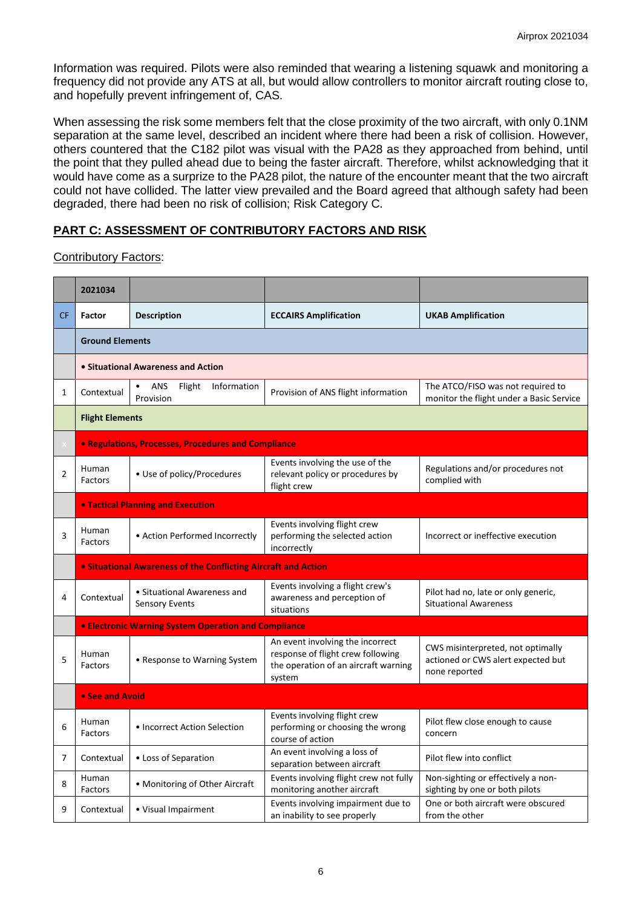Information was required. Pilots were also reminded that wearing a listening squawk and monitoring a frequency did not provide any ATS at all, but would allow controllers to monitor aircraft routing close to, and hopefully prevent infringement of, CAS.

When assessing the risk some members felt that the close proximity of the two aircraft, with only 0.1NM separation at the same level, described an incident where there had been a risk of collision. However, others countered that the C182 pilot was visual with the PA28 as they approached from behind, until the point that they pulled ahead due to being the faster aircraft. Therefore, whilst acknowledging that it would have come as a surprize to the PA28 pilot, the nature of the encounter meant that the two aircraft could not have collided. The latter view prevailed and the Board agreed that although safety had been degraded, there had been no risk of collision; Risk Category C.

# **PART C: ASSESSMENT OF CONTRIBUTORY FACTORS AND RISK**

## Contributory Factors:

|                | 2021034                                                    |                                                                |                                                                                                                         |                                                                                          |  |  |  |  |  |  |  |
|----------------|------------------------------------------------------------|----------------------------------------------------------------|-------------------------------------------------------------------------------------------------------------------------|------------------------------------------------------------------------------------------|--|--|--|--|--|--|--|
| <b>CF</b>      | <b>Factor</b>                                              | <b>Description</b>                                             | <b>ECCAIRS Amplification</b>                                                                                            | <b>UKAB Amplification</b>                                                                |  |  |  |  |  |  |  |
|                | <b>Ground Elements</b>                                     |                                                                |                                                                                                                         |                                                                                          |  |  |  |  |  |  |  |
|                |                                                            | • Situational Awareness and Action                             |                                                                                                                         |                                                                                          |  |  |  |  |  |  |  |
| 1              | Contextual                                                 | Flight<br>Information<br>ANS<br>Provision                      | Provision of ANS flight information                                                                                     | The ATCO/FISO was not required to<br>monitor the flight under a Basic Service            |  |  |  |  |  |  |  |
|                | <b>Flight Elements</b>                                     |                                                                |                                                                                                                         |                                                                                          |  |  |  |  |  |  |  |
|                | <b>• Regulations, Processes, Procedures and Compliance</b> |                                                                |                                                                                                                         |                                                                                          |  |  |  |  |  |  |  |
| $\overline{2}$ | Human<br>Factors                                           | • Use of policy/Procedures                                     | Events involving the use of the<br>relevant policy or procedures by<br>flight crew                                      | Regulations and/or procedures not<br>complied with                                       |  |  |  |  |  |  |  |
|                |                                                            | <b>• Tactical Planning and Execution</b>                       |                                                                                                                         |                                                                                          |  |  |  |  |  |  |  |
| 3              | Human<br>Factors                                           | • Action Performed Incorrectly                                 | Events involving flight crew<br>performing the selected action<br>incorrectly                                           | Incorrect or ineffective execution                                                       |  |  |  |  |  |  |  |
|                |                                                            | • Situational Awareness of the Conflicting Aircraft and Action |                                                                                                                         |                                                                                          |  |  |  |  |  |  |  |
| 4              | Contextual                                                 | • Situational Awareness and<br><b>Sensory Events</b>           | Events involving a flight crew's<br>awareness and perception of<br>situations                                           | Pilot had no, late or only generic,<br><b>Situational Awareness</b>                      |  |  |  |  |  |  |  |
|                |                                                            | • Electronic Warning System Operation and Compliance           |                                                                                                                         |                                                                                          |  |  |  |  |  |  |  |
| 5              | Human<br>• Response to Warning System<br>Factors           |                                                                | An event involving the incorrect<br>response of flight crew following<br>the operation of an aircraft warning<br>system | CWS misinterpreted, not optimally<br>actioned or CWS alert expected but<br>none reported |  |  |  |  |  |  |  |
|                | • See and Avoid                                            |                                                                |                                                                                                                         |                                                                                          |  |  |  |  |  |  |  |
| 6              | Human<br>• Incorrect Action Selection<br><b>Factors</b>    |                                                                | Events involving flight crew<br>performing or choosing the wrong<br>course of action                                    | Pilot flew close enough to cause<br>concern                                              |  |  |  |  |  |  |  |
| 7              | Contextual                                                 | • Loss of Separation                                           | An event involving a loss of<br>separation between aircraft                                                             | Pilot flew into conflict                                                                 |  |  |  |  |  |  |  |
| 8              | Human<br>Factors                                           | • Monitoring of Other Aircraft                                 | Events involving flight crew not fully<br>monitoring another aircraft                                                   | Non-sighting or effectively a non-<br>sighting by one or both pilots                     |  |  |  |  |  |  |  |
| 9              | Contextual                                                 | • Visual Impairment                                            | Events involving impairment due to<br>an inability to see properly                                                      | One or both aircraft were obscured<br>from the other                                     |  |  |  |  |  |  |  |